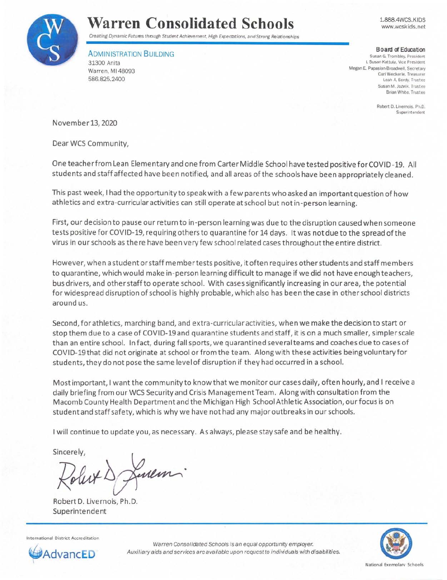

## **Warren Consolidated Schools**

Creating Dynamic Futures through Student Achievement. High Expectations, and Strong Relationships

ADMINISTRATION BUILDING 31300 Anita Warren, MI 48093 586.825.2400

1.888.4WCS.KIDS www.wcskids.net

**Board of Education** 

**Susan G. Trombley. President**  I. Susan Kattula. Vice President Megan E. Papasian-Broadwell, Secretary **Carl Weckerle. Treasurer**  Leah A. Berdy. Trustee Susan M. Jozwik. Trustee **Brian White. Trustee** 

> **Robert 0. Livernois . Ph.D. Superintendent**

November 13, 2020

Dear WCS Community,

One teacher from Lean Elementary and one from Carter Middle School have tested positive forCOVID-19. All students and staff affected have been notified, and all areas of the schools have been appropriately cleaned .

This past week, I had the opportunity to speak with a few parents who asked an important question of how athletics and extra-curricular activities can still operate at school but not in-person learning.

First, our decision to pause our return to in-person learning was due to the disruption caused when someone tests positive for COVID-19, requiring others to quarantine for 14 days. It was not due to the spread of the virus in our schools as the re have been very few school related cases throughoutthe entire district.

However, when a student or staff member tests positive, it often requires other students and staff members to quarantine, which would make in-person learning difficult to manage if we did not have enough teachers, bus drivers, and other staff to operate school. With cases significantly increasing in our area, the potential for widespread disruption of school is highly probable, which also has been the case in other school districts around us .

Second, for athletics, marching band, and extra-curricu lar activities, when we make the decision to start or stop them due to a case of COVID-19 and quarantine students and staff, it is on a much smaller, simpler scale than an entire school. In fact, during fall sports, we quarantined several teams and coaches due to cases of COVID-19 that did not originate at school or from the team. Along with these activities being voluntary for students, they do not pose the same level of disruption if they had occurred in a school.

Most important, I want the community to know that we monitor our cases daily, often hourly, and I receive a daily briefing from our WCS Security and Crisis ManagementTeam. Along with consultation from the Macomb County Health Department and the Michigan High School Athletic Association, our focus is on student and staff safety, which is why we have not had any major outbreaks in our schools.

I will continue to update you, as necessary. As always, please stay safe and be healthy.

Sincerely,

Lillin.

Robert D. Livernois, Ph.D. Superintendent





Warren Consolidated Schools is an equal opportunity employer. **VancED** Auxiliary aids and services are available upon request to individuals with disabilities.